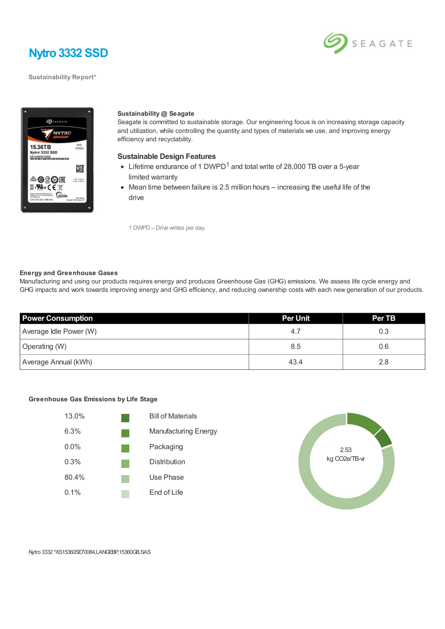

**Sustainability Report\***





#### **Sustainability @ Seagate**

Seagate is committed to sustainable storage. Our engineering focus is on increasing storage capacity and utilization, while controlling the quantity and types of materials we use, and improving energy efficiency and recyclability.

#### **Sustainable Design Features**

- Lifetime endurance of 1 DWPD<sup>1</sup> and total write of 28,000 TB over a 5-year limited warranty
- Mean time between failure is 2.5 million hours increasing the useful life of the drive

1 DWPD– Drive writes per day.

#### **Energy and Greenhouse Gases**

Manufacturing and using our products requires energy and produces Greenhouse Gas (GHG) emissions. We assess life cycle energy and GHG impacts and work towards improving energy and GHG efficiency, and reducing ownership costs with each new generation of our products.

| <b>Power Consumption</b> | <b>Per Unit</b> | <b>Per TB</b> |
|--------------------------|-----------------|---------------|
| Average Idle Power (W)   | 4.              | 0.3           |
| Operating (W)            | 8.5             | 0.6           |
| Average Annual (kWh)     | 43.4            | 2.8           |

### **Greenhouse Gas Emissions by Life Stage**





Nytro 3332 \*XS15360SE70084,LANGEBP,15360GB,SAS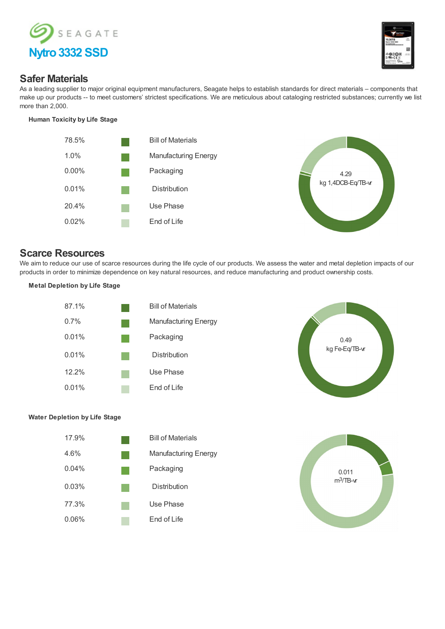



## **Safer Materials**

As a leading supplier to major original equipment manufacturers, Seagate helps to establish standards for direct materials – components that make up our products -- to meet customers' strictest specifications. We are meticulous about cataloging restricted substances; currently we list more than 2,000.

## **Human Toxicity by Life Stage**





# **Scarce Resources**

We aim to reduce our use of scarce resources during the life cycle of our products. We assess the water and metal depletion impacts of our products in order to minimize dependence on key natural resources, and reduce manufacturing and product ownership costs.

## **Metal Depletion by Life Stage**





## **Water Depletion by Life Stage**